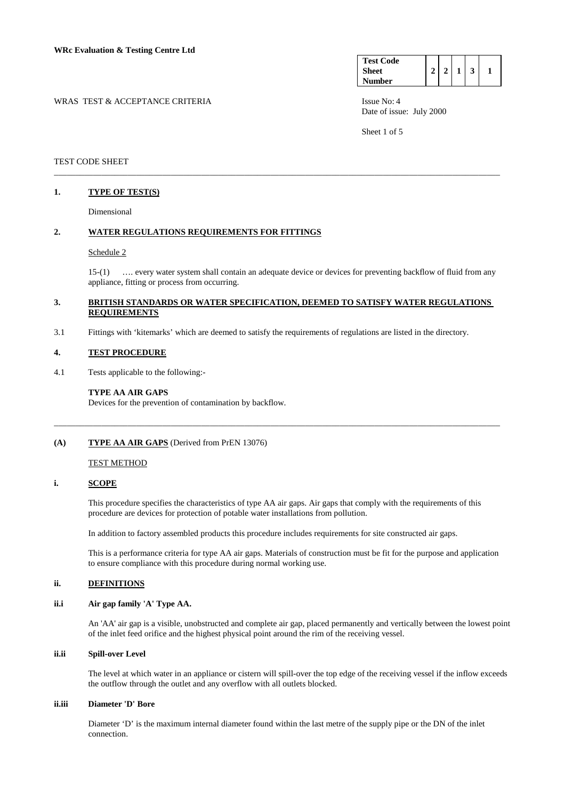| <b>Test Code</b> |          |            |   |  |
|------------------|----------|------------|---|--|
| <b>Sheet</b>     | $\gamma$ | $\gamma$ 1 | 3 |  |
| Number           |          |            |   |  |

WRAS TEST & ACCEPTANCE CRITERIA ISSUE No: 4

Sheet 1 of 5

### TEST CODE SHEET

### **1. TYPE OF TEST(S)**

Dimensional

### **2. WATER REGULATIONS REQUIREMENTS FOR FITTINGS**

#### Schedule 2

 15-(1) …. every water system shall contain an adequate device or devices for preventing backflow of fluid from any appliance, fitting or process from occurring.

### **3. BRITISH STANDARDS OR WATER SPECIFICATION, DEEMED TO SATISFY WATER REGULATIONS REQUIREMENTS**

\_\_\_\_\_\_\_\_\_\_\_\_\_\_\_\_\_\_\_\_\_\_\_\_\_\_\_\_\_\_\_\_\_\_\_\_\_\_\_\_\_\_\_\_\_\_\_\_\_\_\_\_\_\_\_\_\_\_\_\_\_\_\_\_\_\_\_\_\_\_\_\_\_\_\_\_\_\_\_\_\_\_\_\_\_\_\_\_\_\_\_\_\_\_\_\_\_\_\_\_\_\_\_

3.1 Fittings with 'kitemarks' which are deemed to satisfy the requirements of regulations are listed in the directory.

#### **4. TEST PROCEDURE**

4.1 Tests applicable to the following:-

#### **TYPE AA AIR GAPS**

Devices for the prevention of contamination by backflow.

### **(A) TYPE AA AIR GAPS** (Derived from PrEN 13076)

#### TEST METHOD

#### **i. SCOPE**

 This procedure specifies the characteristics of type AA air gaps. Air gaps that comply with the requirements of this procedure are devices for protection of potable water installations from pollution.

\_\_\_\_\_\_\_\_\_\_\_\_\_\_\_\_\_\_\_\_\_\_\_\_\_\_\_\_\_\_\_\_\_\_\_\_\_\_\_\_\_\_\_\_\_\_\_\_\_\_\_\_\_\_\_\_\_\_\_\_\_\_\_\_\_\_\_\_\_\_\_\_\_\_\_\_\_\_\_\_\_\_\_\_\_\_\_\_\_\_\_\_\_\_\_\_\_\_\_\_\_\_\_

In addition to factory assembled products this procedure includes requirements for site constructed air gaps.

 This is a performance criteria for type AA air gaps. Materials of construction must be fit for the purpose and application to ensure compliance with this procedure during normal working use.

### **ii. DEFINITIONS**

### **ii.i Air gap family 'A' Type AA.**

 An 'AA' air gap is a visible, unobstructed and complete air gap, placed permanently and vertically between the lowest point of the inlet feed orifice and the highest physical point around the rim of the receiving vessel.

### **ii.ii Spill-over Level**

 The level at which water in an appliance or cistern will spill-over the top edge of the receiving vessel if the inflow exceeds the outflow through the outlet and any overflow with all outlets blocked.

### **ii.iii Diameter 'D' Bore**

 Diameter 'D' is the maximum internal diameter found within the last metre of the supply pipe or the DN of the inlet connection.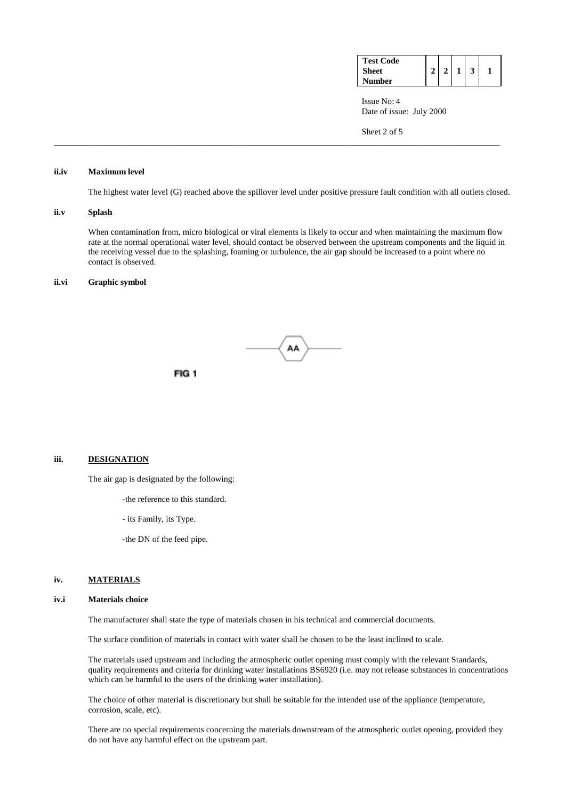| <b>Test Code</b> |  |  |  |
|------------------|--|--|--|
| <b>Sheet</b>     |  |  |  |
| Number           |  |  |  |

Sheet 2 of 5

### **ii.iv Maximum level**

The highest water level (G) reached above the spillover level under positive pressure fault condition with all outlets closed.

\_\_\_\_\_\_\_\_\_\_\_\_\_\_\_\_\_\_\_\_\_\_\_\_\_\_\_\_\_\_\_\_\_\_\_\_\_\_\_\_\_\_\_\_\_\_\_\_\_\_\_\_\_\_\_\_\_\_\_\_\_\_\_\_\_\_\_\_\_\_\_\_\_\_\_\_\_\_\_\_\_\_\_\_\_\_\_\_\_\_\_\_\_\_\_\_\_\_\_\_\_\_\_

### **ii.v Splash**

 When contamination from, micro biological or viral elements is likely to occur and when maintaining the maximum flow rate at the normal operational water level, should contact be observed between the upstream components and the liquid in the receiving vessel due to the splashing, foaming or turbulence, the air gap should be increased to a point where no contact is observed.

### **ii.vi Graphic symbol**



FIG<sub>1</sub>

#### **iii. DESIGNATION**

The air gap is designated by the following:

-the reference to this standard.

- its Family, its Type.

-the DN of the feed pipe.

## **iv. MATERIALS**

### **iv.i Materials choice**

The manufacturer shall state the type of materials chosen in his technical and commercial documents.

The surface condition of materials in contact with water shall be chosen to be the least inclined to scale.

 The materials used upstream and including the atmospheric outlet opening must comply with the relevant Standards, quality requirements and criteria for drinking water installations BS6920 (i.e. may not release substances in concentrations which can be harmful to the users of the drinking water installation).

 The choice of other material is discretionary but shall be suitable for the intended use of the appliance (temperature, corrosion, scale, etc).

 There are no special requirements concerning the materials downstream of the atmospheric outlet opening, provided they do not have any harmful effect on the upstream part.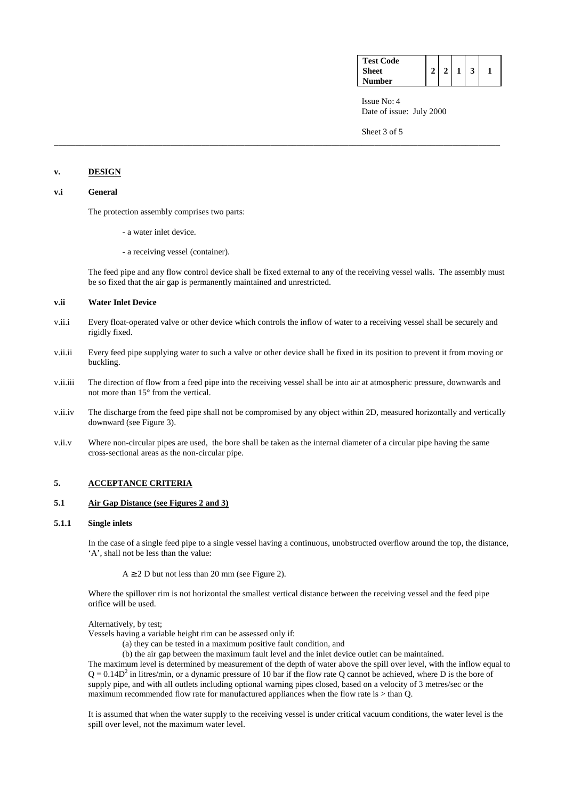| <b>Test Code</b> |  |  |  |
|------------------|--|--|--|
| Sheet            |  |  |  |
| <b>Number</b>    |  |  |  |

Sheet 3 of 5

### **v. DESIGN**

## **v.i General**

The protection assembly comprises two parts:

- a water inlet device.
- a receiving vessel (container).

 The feed pipe and any flow control device shall be fixed external to any of the receiving vessel walls. The assembly must be so fixed that the air gap is permanently maintained and unrestricted.

### **v.ii Water Inlet Device**

v.ii.i Every float-operated valve or other device which controls the inflow of water to a receiving vessel shall be securely and rigidly fixed.

\_\_\_\_\_\_\_\_\_\_\_\_\_\_\_\_\_\_\_\_\_\_\_\_\_\_\_\_\_\_\_\_\_\_\_\_\_\_\_\_\_\_\_\_\_\_\_\_\_\_\_\_\_\_\_\_\_\_\_\_\_\_\_\_\_\_\_\_\_\_\_\_\_\_\_\_\_\_\_\_\_\_\_\_\_\_\_\_\_\_\_\_\_\_\_\_\_\_\_\_\_\_\_

- v.ii.ii Every feed pipe supplying water to such a valve or other device shall be fixed in its position to prevent it from moving or buckling.
- v.ii.iii The direction of flow from a feed pipe into the receiving vessel shall be into air at atmospheric pressure, downwards and not more than 15° from the vertical.
- v.ii.iv The discharge from the feed pipe shall not be compromised by any object within 2D, measured horizontally and vertically downward (see Figure 3).
- v.ii.v Where non-circular pipes are used, the bore shall be taken as the internal diameter of a circular pipe having the same cross-sectional areas as the non-circular pipe.

## **5. ACCEPTANCE CRITERIA**

### **5.1 Air Gap Distance (see Figures 2 and 3)**

### **5.1.1 Single inlets**

 In the case of a single feed pipe to a single vessel having a continuous, unobstructed overflow around the top, the distance, 'A', shall not be less than the value:

 $A \ge 2$  D but not less than 20 mm (see Figure 2).

 Where the spillover rim is not horizontal the smallest vertical distance between the receiving vessel and the feed pipe orifice will be used.

Alternatively, by test;

Vessels having a variable height rim can be assessed only if:

(a) they can be tested in a maximum positive fault condition, and

(b) the air gap between the maximum fault level and the inlet device outlet can be maintained.

 The maximum level is determined by measurement of the depth of water above the spill over level, with the inflow equal to  $Q = 0.14D<sup>2</sup>$  in litres/min, or a dynamic pressure of 10 bar if the flow rate Q cannot be achieved, where D is the bore of supply pipe, and with all outlets including optional warning pipes closed, based on a velocity of 3 metres/sec or the maximum recommended flow rate for manufactured appliances when the flow rate is  $>$  than O.

 It is assumed that when the water supply to the receiving vessel is under critical vacuum conditions, the water level is the spill over level, not the maximum water level.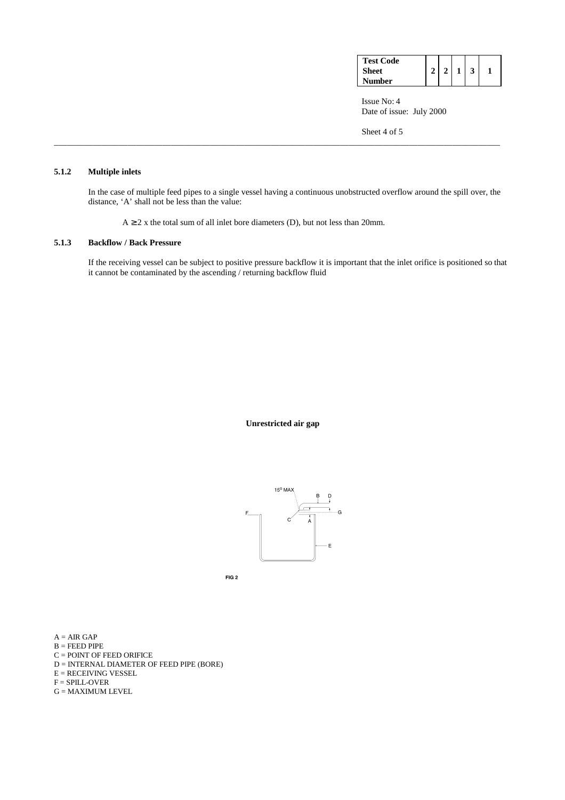| <b>Test Code</b> |  |  |  |
|------------------|--|--|--|
| <b>Sheet</b>     |  |  |  |
| <b>Number</b>    |  |  |  |

Sheet 4 of 5

# **5.1.2 Multiple inlets**

 In the case of multiple feed pipes to a single vessel having a continuous unobstructed overflow around the spill over, the distance, 'A' shall not be less than the value:

\_\_\_\_\_\_\_\_\_\_\_\_\_\_\_\_\_\_\_\_\_\_\_\_\_\_\_\_\_\_\_\_\_\_\_\_\_\_\_\_\_\_\_\_\_\_\_\_\_\_\_\_\_\_\_\_\_\_\_\_\_\_\_\_\_\_\_\_\_\_\_\_\_\_\_\_\_\_\_\_\_\_\_\_\_\_\_\_\_\_\_\_\_\_\_\_\_\_\_\_\_\_\_

 $A \ge 2$  x the total sum of all inlet bore diameters (D), but not less than 20mm.

### **5.1.3 Backflow / Back Pressure**

 If the receiving vessel can be subject to positive pressure backflow it is important that the inlet orifice is positioned so that it cannot be contaminated by the ascending / returning backflow fluid

**Unrestricted air gap** 



 $FIG 2$ 

- $A = AIR$  GAP
- $B = FEED$  PIPE
- $\mathbf{C} = \mathbf{POINT}$  OF FEED ORIFICE
- D = INTERNAL DIAMETER OF FEED PIPE (BORE)
- $E = RECEIVING VESSEL$
- F = SPILL-OVER
- $G = MAXIMUM$  LEVEL